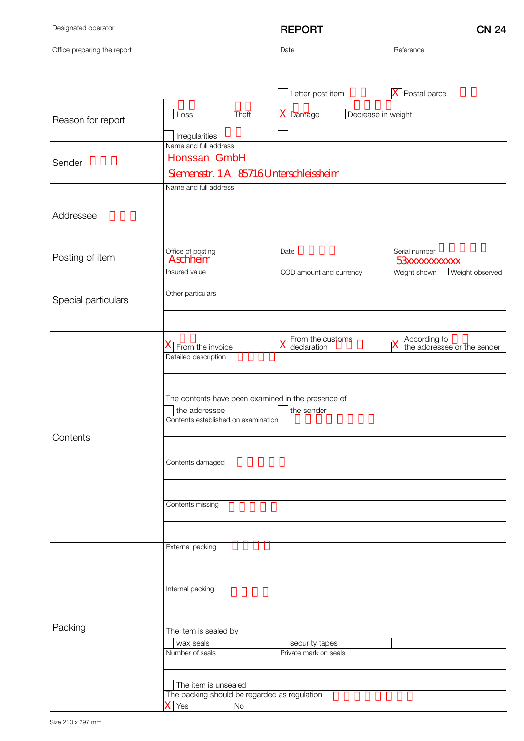Designated operator

Office preparing the report

## REPORT CN 24

Date Reference

|                     |                                                                                                         | Letter-post item                        | Postal parcel                               |
|---------------------|---------------------------------------------------------------------------------------------------------|-----------------------------------------|---------------------------------------------|
| Reason for report   | Theft<br>Loss                                                                                           | $\vert X \vert$ Damage                  | Decrease in weight                          |
|                     | Irregularities<br>Name and full address                                                                 |                                         |                                             |
| Sender              | Honssan GmbH<br>Siemensstr. 1 A 85716 Unterschleissheim                                                 |                                         |                                             |
| Addressee           | Name and full address                                                                                   |                                         |                                             |
|                     |                                                                                                         |                                         |                                             |
| Posting of item     | Office of posting<br>Aschheim                                                                           | Date                                    | Serial number<br><b>53xxxxxxxxxx</b>        |
| Special particulars | Insured value<br>Other particulars                                                                      | COD amount and currency                 | Weight shown<br>Weight observed             |
|                     |                                                                                                         |                                         |                                             |
| Contents            | $\overline{X}$ From the invoice<br>Detailed description                                                 | From the customs<br>declaration         | According to<br>the addressee or the sender |
|                     | The contents have been examined in the presence of                                                      |                                         |                                             |
|                     | the addressee<br>Contents established on examination                                                    | the sender                              |                                             |
|                     | Contents damaged                                                                                        |                                         |                                             |
|                     |                                                                                                         |                                         |                                             |
|                     | Contents missing                                                                                        |                                         |                                             |
| Packing             | External packing                                                                                        |                                         |                                             |
|                     |                                                                                                         |                                         |                                             |
|                     | Internal packing                                                                                        |                                         |                                             |
|                     | The item is sealed by                                                                                   |                                         |                                             |
|                     | wax seals<br>Number of seals                                                                            | security tapes<br>Private mark on seals |                                             |
|                     |                                                                                                         |                                         |                                             |
|                     | The item is unsealed<br>The packing should be regarded as regulation<br>$\overline{X}$ Yes<br><b>No</b> |                                         |                                             |